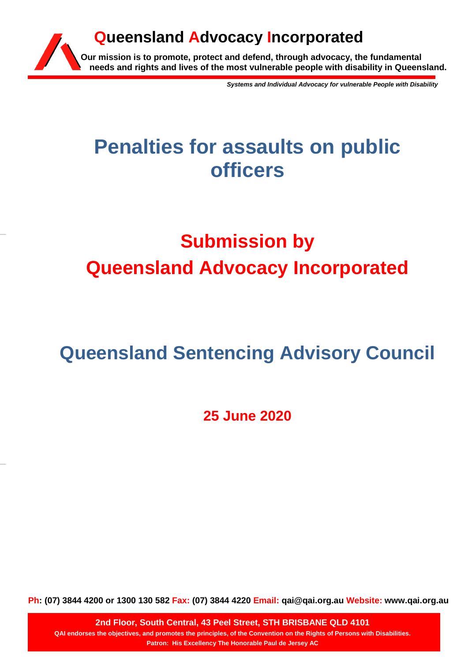

*Systems and Individual Advocacy for vulnerable People with Disability*

## **Penalties for assaults on public officers**

# **Submission by Queensland Advocacy Incorporated**

## **Queensland Sentencing Advisory Council**

**25 June 2020**

**Ph: (07) 3844 4200 or 1300 130 582 Fax: (07) 3844 4220 Email: qai@qai.org.au Website: www.qai.org.au**

**2nd Floor, South Central, 43 Peel Street, STH BRISBANE QLD 4101 QAI endorses the objectives, and promotes the principles, of the Convention on the Rights of Persons with Disabilities. Patron: His Excellency The Honorable Paul de Jersey AC**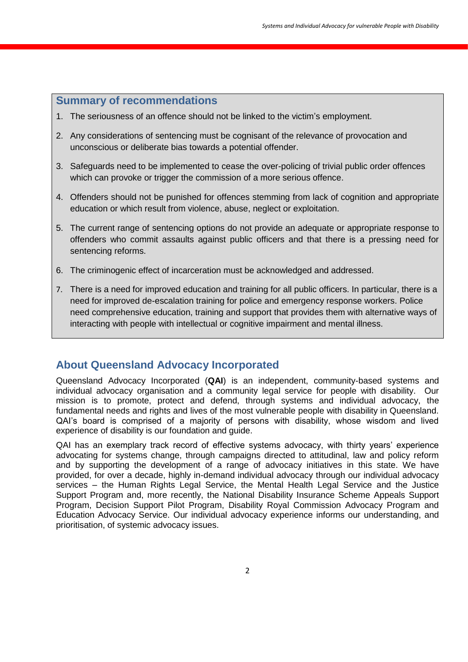## **Summary of recommendations**

- 1. The seriousness of an offence should not be linked to the victim's employment.
- 2. Any considerations of sentencing must be cognisant of the relevance of provocation and unconscious or deliberate bias towards a potential offender.
- 3. Safeguards need to be implemented to cease the over-policing of trivial public order offences which can provoke or trigger the commission of a more serious offence.
- 4. Offenders should not be punished for offences stemming from lack of cognition and appropriate education or which result from violence, abuse, neglect or exploitation.
- 5. The current range of sentencing options do not provide an adequate or appropriate response to offenders who commit assaults against public officers and that there is a pressing need for sentencing reforms.
- 6. The criminogenic effect of incarceration must be acknowledged and addressed.
- 7. There is a need for improved education and training for all public officers. In particular, there is a need for improved de-escalation training for police and emergency response workers. Police need comprehensive education, training and support that provides them with alternative ways of interacting with people with intellectual or cognitive impairment and mental illness.

## **About Queensland Advocacy Incorporated**

Queensland Advocacy Incorporated (**QAI**) is an independent, community-based systems and individual advocacy organisation and a community legal service for people with disability. Our mission is to promote, protect and defend, through systems and individual advocacy, the fundamental needs and rights and lives of the most vulnerable people with disability in Queensland. QAI's board is comprised of a majority of persons with disability, whose wisdom and lived experience of disability is our foundation and guide.

QAI has an exemplary track record of effective systems advocacy, with thirty years' experience advocating for systems change, through campaigns directed to attitudinal, law and policy reform and by supporting the development of a range of advocacy initiatives in this state. We have provided, for over a decade, highly in-demand individual advocacy through our individual advocacy services – the Human Rights Legal Service, the Mental Health Legal Service and the Justice Support Program and, more recently, the National Disability Insurance Scheme Appeals Support Program, Decision Support Pilot Program, Disability Royal Commission Advocacy Program and Education Advocacy Service. Our individual advocacy experience informs our understanding, and prioritisation, of systemic advocacy issues.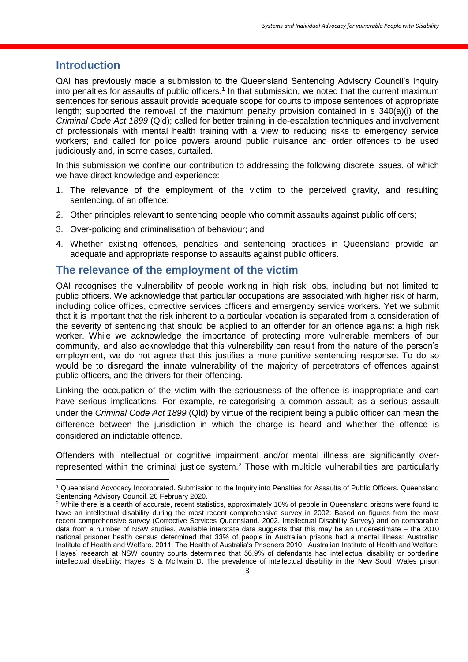## **Introduction**

**.** 

QAI has previously made a submission to the Queensland Sentencing Advisory Council's inquiry into penalties for assaults of public officers.<sup>1</sup> In that submission, we noted that the current maximum sentences for serious assault provide adequate scope for courts to impose sentences of appropriate length; supported the removal of the maximum penalty provision contained in s 340(a)(i) of the *Criminal Code Act 1899* (Qld); called for better training in de-escalation techniques and involvement of professionals with mental health training with a view to reducing risks to emergency service workers; and called for police powers around public nuisance and order offences to be used judiciously and, in some cases, curtailed.

In this submission we confine our contribution to addressing the following discrete issues, of which we have direct knowledge and experience:

- 1. The relevance of the employment of the victim to the perceived gravity, and resulting sentencing, of an offence;
- 2. Other principles relevant to sentencing people who commit assaults against public officers;
- 3. Over-policing and criminalisation of behaviour; and
- 4. Whether existing offences, penalties and sentencing practices in Queensland provide an adequate and appropriate response to assaults against public officers.

#### **The relevance of the employment of the victim**

QAI recognises the vulnerability of people working in high risk jobs, including but not limited to public officers. We acknowledge that particular occupations are associated with higher risk of harm, including police offices, corrective services officers and emergency service workers. Yet we submit that it is important that the risk inherent to a particular vocation is separated from a consideration of the severity of sentencing that should be applied to an offender for an offence against a high risk worker. While we acknowledge the importance of protecting more vulnerable members of our community, and also acknowledge that this vulnerability can result from the nature of the person's employment, we do not agree that this justifies a more punitive sentencing response. To do so would be to disregard the innate vulnerability of the majority of perpetrators of offences against public officers, and the drivers for their offending.

Linking the occupation of the victim with the seriousness of the offence is inappropriate and can have serious implications. For example, re-categorising a common assault as a serious assault under the *Criminal Code Act 1899* (Qld) by virtue of the recipient being a public officer can mean the difference between the jurisdiction in which the charge is heard and whether the offence is considered an indictable offence.

Offenders with intellectual or cognitive impairment and/or mental illness are significantly overrepresented within the criminal justice system.<sup>2</sup> Those with multiple vulnerabilities are particularly

<sup>1</sup> Queensland Advocacy Incorporated. Submission to the Inquiry into Penalties for Assaults of Public Officers. Queensland Sentencing Advisory Council. 20 February 2020.

<sup>&</sup>lt;sup>2</sup> While there is a dearth of accurate, recent statistics, approximately 10% of people in Queensland prisons were found to have an intellectual disability during the most recent comprehensive survey in 2002: Based on figures from the most recent comprehensive survey (Corrective Services Queensland. 2002. Intellectual Disability Survey) and on comparable data from a number of NSW studies. Available interstate data suggests that this may be an underestimate – the 2010 national prisoner health census determined that 33% of people in Australian prisons had a mental illness: Australian Institute of Health and Welfare. 2011. The Health of Australia's Prisoners 2010. Australian Institute of Health and Welfare. Hayes' research at NSW country courts determined that 56.9% of defendants had intellectual disability or borderline intellectual disability: Hayes, S & McIlwain D. The prevalence of intellectual disability in the New South Wales prison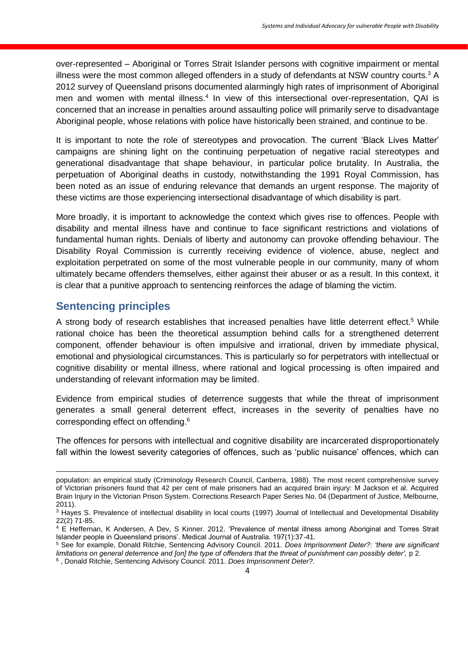over-represented – Aboriginal or Torres Strait Islander persons with cognitive impairment or mental illness were the most common alleged offenders in a study of defendants at NSW country courts.<sup>3</sup> A 2012 survey of Queensland prisons documented alarmingly high rates of imprisonment of Aboriginal men and women with mental illness.<sup>4</sup> In view of this intersectional over-representation, QAI is concerned that an increase in penalties around assaulting police will primarily serve to disadvantage Aboriginal people, whose relations with police have historically been strained, and continue to be.

It is important to note the role of stereotypes and provocation. The current 'Black Lives Matter' campaigns are shining light on the continuing perpetuation of negative racial stereotypes and generational disadvantage that shape behaviour, in particular police brutality. In Australia, the perpetuation of Aboriginal deaths in custody, notwithstanding the 1991 Royal Commission, has been noted as an issue of enduring relevance that demands an urgent response. The majority of these victims are those experiencing intersectional disadvantage of which disability is part.

More broadly, it is important to acknowledge the context which gives rise to offences. People with disability and mental illness have and continue to face significant restrictions and violations of fundamental human rights. Denials of liberty and autonomy can provoke offending behaviour. The Disability Royal Commission is currently receiving evidence of violence, abuse, neglect and exploitation perpetrated on some of the most vulnerable people in our community, many of whom ultimately became offenders themselves, either against their abuser or as a result. In this context, it is clear that a punitive approach to sentencing reinforces the adage of blaming the victim.

## **Sentencing principles**

**.** 

A strong body of research establishes that increased penalties have little deterrent effect.<sup>5</sup> While rational choice has been the theoretical assumption behind calls for a strengthened deterrent component, offender behaviour is often impulsive and irrational, driven by immediate physical, emotional and physiological circumstances. This is particularly so for perpetrators with intellectual or cognitive disability or mental illness, where rational and logical processing is often impaired and understanding of relevant information may be limited.

Evidence from empirical studies of deterrence suggests that while the threat of imprisonment generates a small general deterrent effect, increases in the severity of penalties have no corresponding effect on offending. 6

The offences for persons with intellectual and cognitive disability are incarcerated disproportionately fall within the lowest severity categories of offences, such as 'public nuisance' offences, which can

population: an empirical study (Criminology Research Council, Canberra, 1988). The most recent comprehensive survey of Victorian prisoners found that 42 per cent of male prisoners had an acquired brain injury: M Jackson et al. Acquired Brain Injury in the Victorian Prison System. Corrections Research Paper Series No. 04 (Department of Justice, Melbourne, 2011).

<sup>&</sup>lt;sup>3</sup> Hayes S. Prevalence of intellectual disability in local courts (1997) Journal of Intellectual and Developmental Disability 22(2) 71-85.

<sup>&</sup>lt;sup>4</sup> E Heffernan, K Andersen, A Dev, S Kinner. 2012. 'Prevalence of mental illness among Aboriginal and Torres Strait Islander people in Queensland prisons'. Medical Journal of Australia. 197(1):37-41.

<sup>5</sup> See for example, Donald Ritchie, Sentencing Advisory Council. 2011. *Does Imprisonment Deter?: 'there are significant limitations on general deterrence and [on] the type of offenders that the threat of punishment can possibly deter', p 2.* 

<sup>6</sup> , Donald Ritchie, Sentencing Advisory Council. 2011. *Does Imprisonment Deter?.*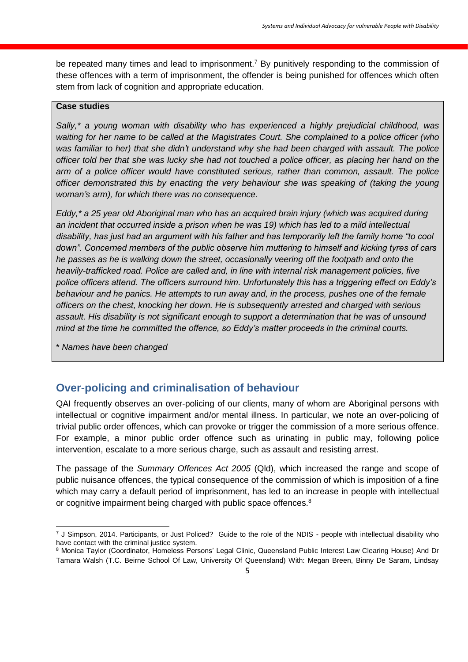be repeated many times and lead to imprisonment.<sup>7</sup> By punitively responding to the commission of these offences with a term of imprisonment, the offender is being punished for offences which often stem from lack of cognition and appropriate education.

#### **Case studies**

*Sally,\* a young woman with disability who has experienced a highly prejudicial childhood, was waiting for her name to be called at the Magistrates Court. She complained to a police officer (who was familiar to her) that she didn't understand why she had been charged with assault. The police officer told her that she was lucky she had not touched a police officer, as placing her hand on the arm of a police officer would have constituted serious, rather than common, assault. The police officer demonstrated this by enacting the very behaviour she was speaking of (taking the young woman's arm), for which there was no consequence.*

*Eddy,\* a 25 year old Aboriginal man who has an acquired brain injury (which was acquired during an incident that occurred inside a prison when he was 19) which has led to a mild intellectual disability, has just had an argument with his father and has temporarily left the family home "to cool down". Concerned members of the public observe him muttering to himself and kicking tyres of cars he passes as he is walking down the street, occasionally veering off the footpath and onto the heavily-trafficked road. Police are called and, in line with internal risk management policies, five police officers attend. The officers surround him. Unfortunately this has a triggering effect on Eddy's behaviour and he panics. He attempts to run away and, in the process, pushes one of the female officers on the chest, knocking her down. He is subsequently arrested and charged with serious assault. His disability is not significant enough to support a determination that he was of unsound mind at the time he committed the offence, so Eddy's matter proceeds in the criminal courts.*

\* *Names have been changed* 

1

## **Over-policing and criminalisation of behaviour**

QAI frequently observes an over-policing of our clients, many of whom are Aboriginal persons with intellectual or cognitive impairment and/or mental illness. In particular, we note an over-policing of trivial public order offences, which can provoke or trigger the commission of a more serious offence. For example, a minor public order offence such as urinating in public may, following police intervention, escalate to a more serious charge, such as assault and resisting arrest.

The passage of the *Summary Offences Act 2005* (Qld), which increased the range and scope of public nuisance offences, the typical consequence of the commission of which is imposition of a fine which may carry a default period of imprisonment, has led to an increase in people with intellectual or cognitive impairment being charged with public space offences.<sup>8</sup>

 $7$  J Simpson, 2014. Participants, or Just Policed? Guide to the role of the NDIS - people with intellectual disability who have contact with the criminal justice system.

<sup>8</sup> Monica Taylor (Coordinator, Homeless Persons' Legal Clinic, Queensland Public Interest Law Clearing House) And Dr Tamara Walsh (T.C. Beirne School Of Law, University Of Queensland) With: Megan Breen, Binny De Saram, Lindsay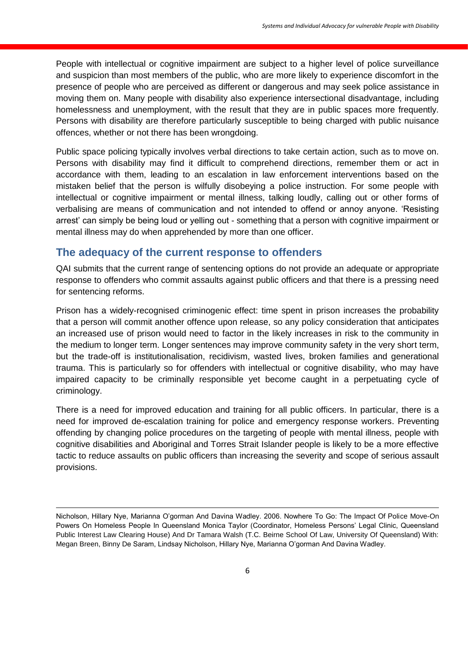People with intellectual or cognitive impairment are subject to a higher level of police surveillance and suspicion than most members of the public, who are more likely to experience discomfort in the presence of people who are perceived as different or dangerous and may seek police assistance in moving them on. Many people with disability also experience intersectional disadvantage, including homelessness and unemployment, with the result that they are in public spaces more frequently. Persons with disability are therefore particularly susceptible to being charged with public nuisance offences, whether or not there has been wrongdoing.

Public space policing typically involves verbal directions to take certain action, such as to move on. Persons with disability may find it difficult to comprehend directions, remember them or act in accordance with them, leading to an escalation in law enforcement interventions based on the mistaken belief that the person is wilfully disobeying a police instruction. For some people with intellectual or cognitive impairment or mental illness, talking loudly, calling out or other forms of verbalising are means of communication and not intended to offend or annoy anyone. 'Resisting arrest' can simply be being loud or yelling out - something that a person with cognitive impairment or mental illness may do when apprehended by more than one officer.

## **The adequacy of the current response to offenders**

**.** 

QAI submits that the current range of sentencing options do not provide an adequate or appropriate response to offenders who commit assaults against public officers and that there is a pressing need for sentencing reforms.

Prison has a widely-recognised criminogenic effect: time spent in prison increases the probability that a person will commit another offence upon release, so any policy consideration that anticipates an increased use of prison would need to factor in the likely increases in risk to the community in the medium to longer term. Longer sentences may improve community safety in the very short term, but the trade-off is institutionalisation, recidivism, wasted lives, broken families and generational trauma. This is particularly so for offenders with intellectual or cognitive disability, who may have impaired capacity to be criminally responsible yet become caught in a perpetuating cycle of criminology.

There is a need for improved education and training for all public officers. In particular, there is a need for improved de-escalation training for police and emergency response workers. Preventing offending by changing police procedures on the targeting of people with mental illness, people with cognitive disabilities and Aboriginal and Torres Strait Islander people is likely to be a more effective tactic to reduce assaults on public officers than increasing the severity and scope of serious assault provisions.

Nicholson, Hillary Nye, Marianna O'gorman And Davina Wadley. 2006. Nowhere To Go: The Impact Of Police Move-On Powers On Homeless People In Queensland Monica Taylor (Coordinator, Homeless Persons' Legal Clinic, Queensland Public Interest Law Clearing House) And Dr Tamara Walsh (T.C. Beirne School Of Law, University Of Queensland) With: Megan Breen, Binny De Saram, Lindsay Nicholson, Hillary Nye, Marianna O'gorman And Davina Wadley.